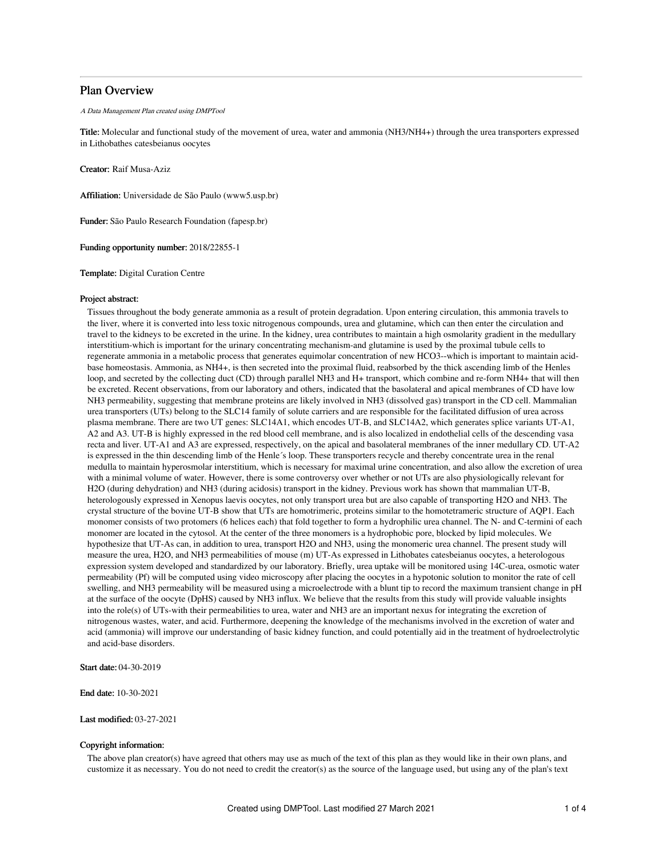## Plan Overview

A Data Management Plan created using DMPTool

Title: Molecular and functional study of the movement of urea, water and ammonia (NH3/NH4+) through the urea transporters expressed in Lithobathes catesbeianus oocytes

Creator: Raif Musa-Aziz

Affiliation: Universidade de São Paulo (www5.usp.br)

Funder: São Paulo Research Foundation (fapesp.br)

Funding opportunity number: 2018/22855-1

Template: Digital Curation Centre

#### Project abstract:

Tissues throughout the body generate ammonia as a result of protein degradation. Upon entering circulation, this ammonia travels to the liver, where it is converted into less toxic nitrogenous compounds, urea and glutamine, which can then enter the circulation and travel to the kidneys to be excreted in the urine. In the kidney, urea contributes to maintain a high osmolarity gradient in the medullary interstitium-which is important for the urinary concentrating mechanism-and glutamine is used by the proximal tubule cells to regenerate ammonia in a metabolic process that generates equimolar concentration of new HCO3--which is important to maintain acidbase homeostasis. Ammonia, as NH4+, is then secreted into the proximal fluid, reabsorbed by the thick ascending limb of the Henles loop, and secreted by the collecting duct (CD) through parallel NH3 and H+ transport, which combine and re-form NH4+ that will then be excreted. Recent observations, from our laboratory and others, indicated that the basolateral and apical membranes of CD have low NH3 permeability, suggesting that membrane proteins are likely involved in NH3 (dissolved gas) transport in the CD cell. Mammalian urea transporters (UTs) belong to the SLC14 family of solute carriers and are responsible for the facilitated diffusion of urea across plasma membrane. There are two UT genes: SLC14A1, which encodes UT-B, and SLC14A2, which generates splice variants UT-A1, A2 and A3. UT-B is highly expressed in the red blood cell membrane, and is also localized in endothelial cells of the descending vasa recta and liver. UT-A1 and A3 are expressed, respectively, on the apical and basolateral membranes of the inner medullary CD. UT-A2 is expressed in the thin descending limb of the Henle´s loop. These transporters recycle and thereby concentrate urea in the renal medulla to maintain hyperosmolar interstitium, which is necessary for maximal urine concentration, and also allow the excretion of urea with a minimal volume of water. However, there is some controversy over whether or not UTs are also physiologically relevant for H2O (during dehydration) and NH3 (during acidosis) transport in the kidney. Previous work has shown that mammalian UT-B, heterologously expressed in Xenopus laevis oocytes, not only transport urea but are also capable of transporting H2O and NH3. The crystal structure of the bovine UT-B show that UTs are homotrimeric, proteins similar to the homotetrameric structure of AQP1. Each monomer consists of two protomers (6 helices each) that fold together to form a hydrophilic urea channel. The N- and C-termini of each monomer are located in the cytosol. At the center of the three monomers is a hydrophobic pore, blocked by lipid molecules. We hypothesize that UT-As can, in addition to urea, transport H2O and NH3, using the monomeric urea channel. The present study will measure the urea, H2O, and NH3 permeabilities of mouse (m) UT-As expressed in Lithobates catesbeianus oocytes, a heterologous expression system developed and standardized by our laboratory. Briefly, urea uptake will be monitored using 14C-urea, osmotic water permeability (Pf) will be computed using video microscopy after placing the oocytes in a hypotonic solution to monitor the rate of cell swelling, and NH3 permeability will be measured using a microelectrode with a blunt tip to record the maximum transient change in pH at the surface of the oocyte (DpHS) caused by NH3 influx. We believe that the results from this study will provide valuable insights into the role(s) of UTs-with their permeabilities to urea, water and NH3 are an important nexus for integrating the excretion of nitrogenous wastes, water, and acid. Furthermore, deepening the knowledge of the mechanisms involved in the excretion of water and acid (ammonia) will improve our understanding of basic kidney function, and could potentially aid in the treatment of hydroelectrolytic and acid-base disorders.

Start date: 04-30-2019

End date: 10-30-2021

Last modified: 03-27-2021

### Copyright information:

The above plan creator(s) have agreed that others may use as much of the text of this plan as they would like in their own plans, and customize it as necessary. You do not need to credit the creator(s) as the source of the language used, but using any of the plan's text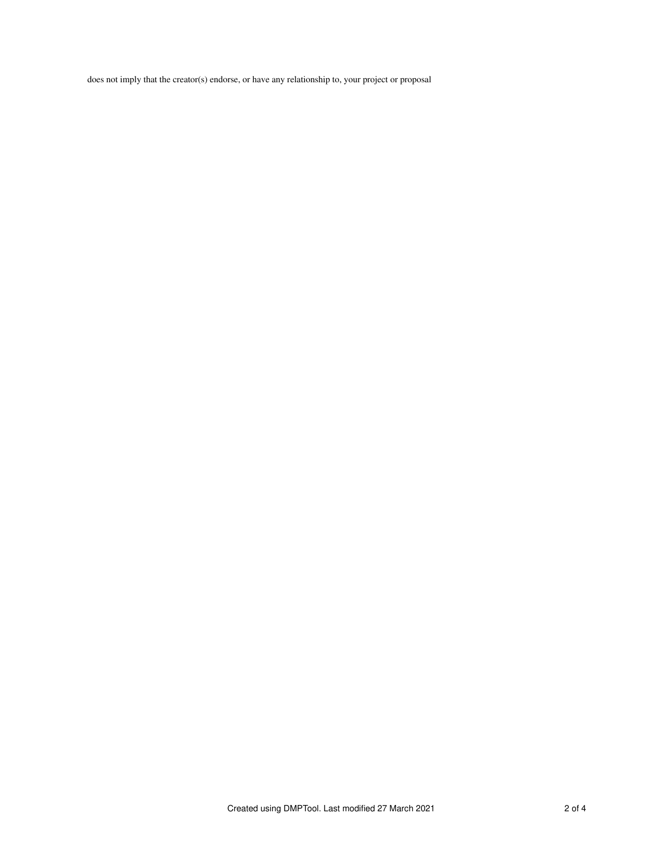does not imply that the creator(s) endorse, or have any relationship to, your project or proposal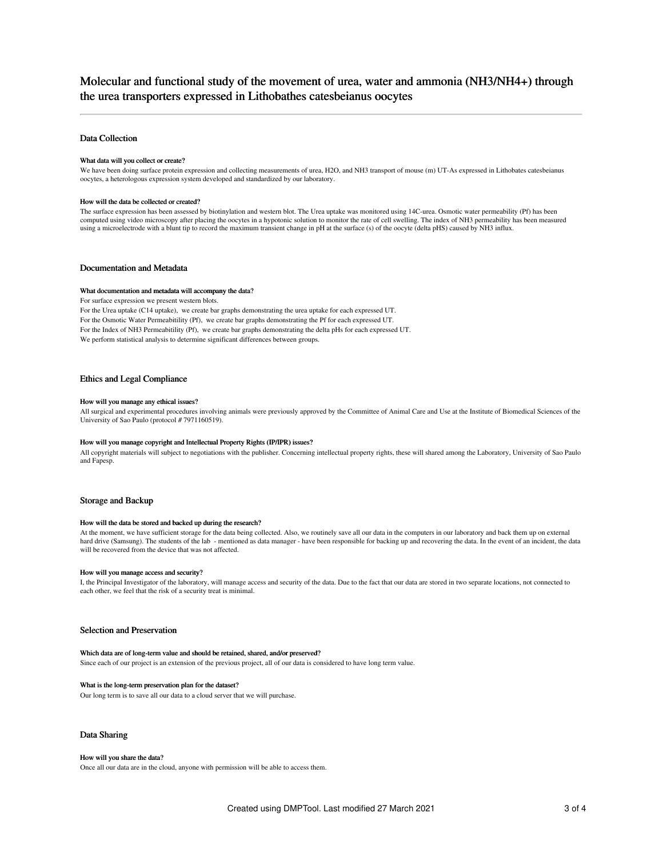# Molecular and functional study of the movement of urea, water and ammonia (NH3/NH4+) through the urea transporters expressed in Lithobathes catesbeianus oocytes

## Data Collection

#### What data will you collect or create?

We have been doing surface protein expression and collecting measurements of urea, H2O, and NH3 transport of mouse (m) UT-As expressed in Lithobates catesbeianus oocytes, a heterologous expression system developed and standardized by our laboratory.

#### How will the data be collected or created?

The surface expression has been assessed by biotinylation and western blot. The Urea uptake was monitored using 14C-urea. Osmotic water permeability (Pf) has been computed using video microscopy after placing the oocytes in a hypotonic solution to monitor the rate of cell swelling. The index of NH3 permeability has been measured using a microelectrode with a blunt tip to record the maximum transient change in pH at the surface (s) of the oocyte (delta pHS) caused by NH3 influx.

## Documentation and Metadata

#### What documentation and metadata will accompany the data?

For surface expression we present western blots.

For the Urea uptake (C14 uptake), we create bar graphs demonstrating the urea uptake for each expressed UT. For the Osmotic Water Permeabitility (Pf), we create bar graphs demonstrating the Pf for each expressed UT. For the Index of NH3 Permeabitility (Pf), we create bar graphs demonstrating the delta pHs for each expressed UT. We perform statistical analysis to determine significant differences between groups.

## Ethics and Legal Compliance

#### How will you manage any ethical issues?

All surgical and experimental procedures involving animals were previously approved by the Committee of Animal Care and Use at the Institute of Biomedical Sciences of the University of Sao Paulo (protocol # 7971160519).

#### How will you manage copyright and Intellectual Property Rights (IP/IPR) issues?

All copyright materials will subject to negotiations with the publisher. Concerning intellectual property rights, these will shared among the Laboratory, University of Sao Paulo and Fapesp.

## Storage and Backup

#### How will the data be stored and backed up during the research?

At the moment, we have sufficient storage for the data being collected. Also, we routinely save all our data in the computers in our laboratory and back them up on external hard drive (Samsung). The students of the lab - mentioned as data manager - have been responsible for backing up and recovering the data. In the event of an incident, the data will be recovered from the device that was not affected.

#### How will you manage access and security?

I, the Principal Investigator of the laboratory, will manage access and security of the data. Due to the fact that our data are stored in two separate locations, not connected to each other, we feel that the risk of a security treat is minimal.

## Selection and Preservation

#### Which data are of long-term value and should be retained, shared, and/or preserved?

Since each of our project is an extension of the previous project, all of our data is considered to have long term value.

#### What is the long-term preservation plan for the dataset?

Our long term is to save all our data to a cloud server that we will purchase.

## Data Sharing

#### How will you share the data?

Once all our data are in the cloud, anyone with permission will be able to access them.